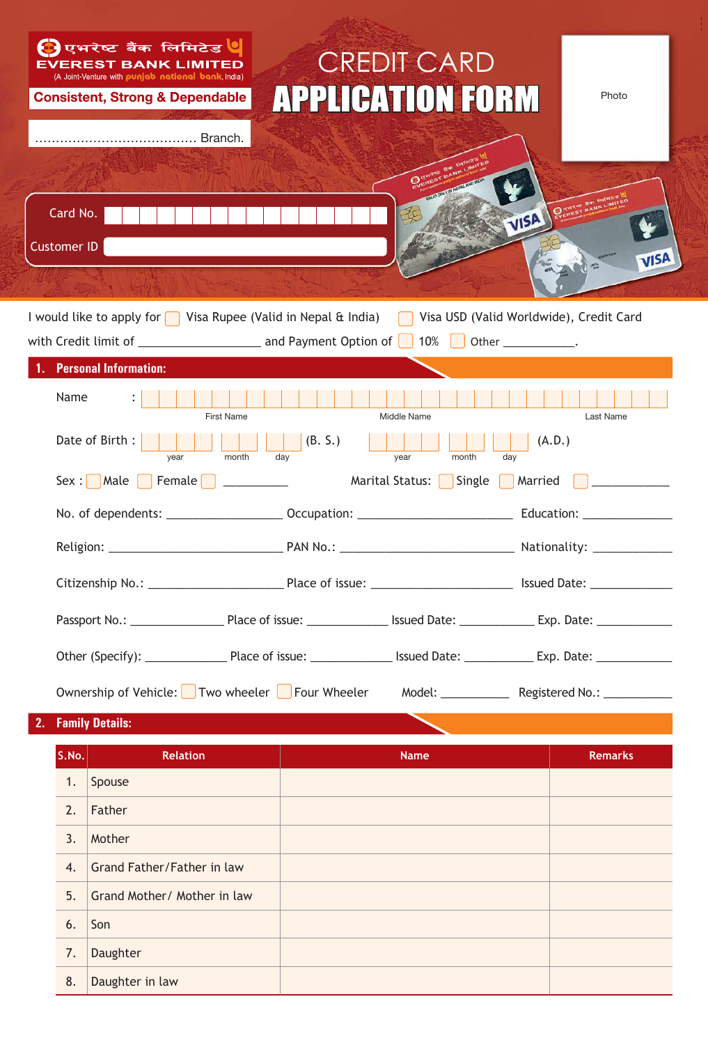

**2. Family Details:**

**S.No. Relation Relation Relation Remarks** Remarks 1. Spouse 2. Father 3. Mother 4. Grand Father/Father in law 5. Grand Mother/ Mother in law 6.  $\vert$  Son 7. Daughter 8. Daughter in law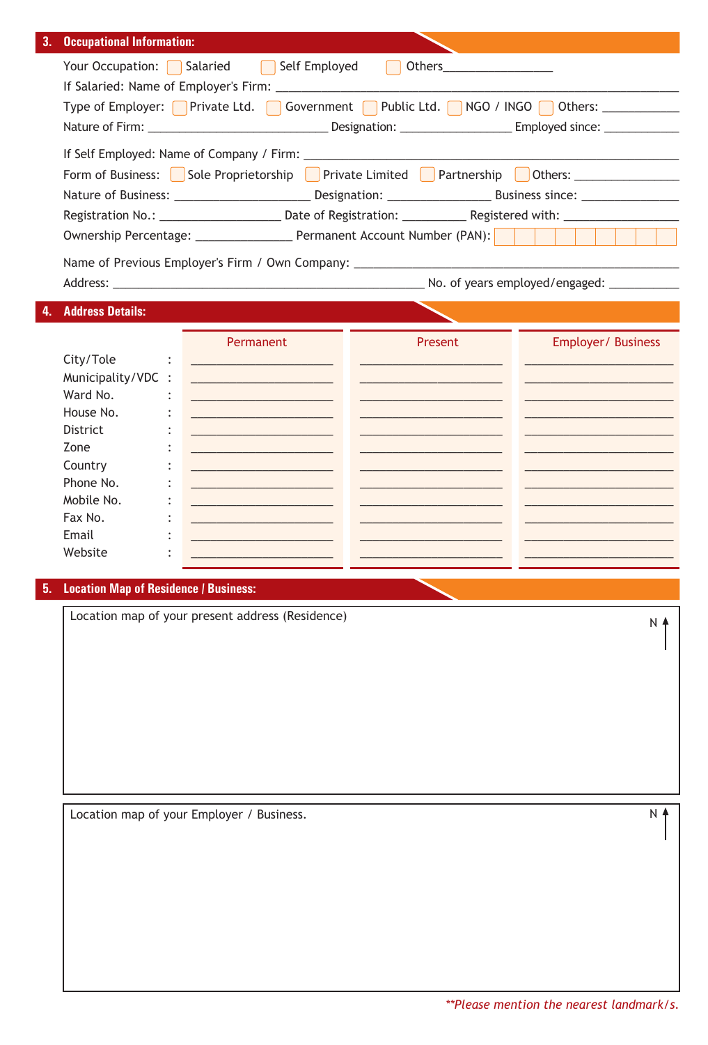| 3.<br><b>Occupational Information:</b> |                                                                                                                                                                                                                                      |                 |
|----------------------------------------|--------------------------------------------------------------------------------------------------------------------------------------------------------------------------------------------------------------------------------------|-----------------|
|                                        | Your Occupation: Salaried<br>Self Employed                                                                                                                                                                                           |                 |
|                                        |                                                                                                                                                                                                                                      |                 |
|                                        | Type of Employer: Private Ltd.   Government Public Ltd.   NGO / INGO   Others: ________                                                                                                                                              |                 |
|                                        | Nature of Firm: _________________________________Designation: ___________________Employed since: _____________                                                                                                                       |                 |
|                                        |                                                                                                                                                                                                                                      |                 |
|                                        | Form of Business: Sole Proprietorship Private Limited Partnership Others: 2000 1991                                                                                                                                                  |                 |
|                                        |                                                                                                                                                                                                                                      |                 |
|                                        | Registration No.: ___________________________________Date of Registration: ___________________________________                                                                                                                       |                 |
|                                        |                                                                                                                                                                                                                                      |                 |
|                                        | Name of Previous Employer's Firm / Own Company: ________________________________                                                                                                                                                     |                 |
|                                        | Address: No. of years employed/engaged:                                                                                                                                                                                              |                 |
|                                        |                                                                                                                                                                                                                                      |                 |
| <b>Address Details:</b>                |                                                                                                                                                                                                                                      |                 |
|                                        | Permanent<br>Present<br>Employer/ Business                                                                                                                                                                                           |                 |
| City/Tole                              |                                                                                                                                                                                                                                      |                 |
| Municipality/VDC :                     |                                                                                                                                                                                                                                      |                 |
| Ward No.                               |                                                                                                                                                                                                                                      |                 |
| House No.                              |                                                                                                                                                                                                                                      |                 |
| District                               |                                                                                                                                                                                                                                      |                 |
| Zone                                   | <u> 1989 - Johann Harry Harry Harry Harry Harry Harry Harry Harry Harry Harry Harry Harry Harry Harry Harry Harry Harry Harry Harry Harry Harry Harry Harry Harry Harry Harry Harry Harry Harry Harry Harry Harry Harry Harry Ha</u> |                 |
| Country                                |                                                                                                                                                                                                                                      |                 |
| Phone No.                              |                                                                                                                                                                                                                                      |                 |
| Mobile No.                             |                                                                                                                                                                                                                                      |                 |
| Fax No.                                |                                                                                                                                                                                                                                      |                 |
| Email                                  | <u> 1980 - Johann Barn, mars an t-Amerikaansk ferstjer op de oarste gemeente op de oarste gemeente op de oars</u>                                                                                                                    |                 |
| Website                                |                                                                                                                                                                                                                                      |                 |
|                                        |                                                                                                                                                                                                                                      |                 |
|                                        | 5. Location Map of Residence / Business:                                                                                                                                                                                             |                 |
|                                        | Location map of your present address (Residence)                                                                                                                                                                                     | $N$ $\triangle$ |

Location map of your Employer / Business.

N<sup>4</sup>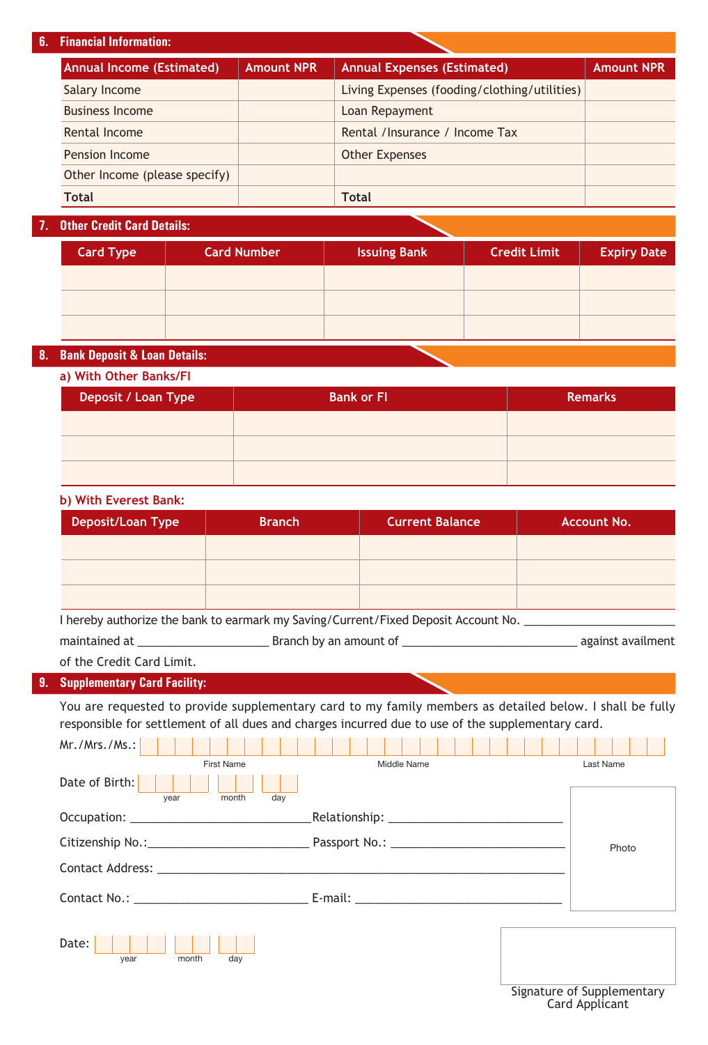## **6. Financial Information:**

| <b>Annual Income (Estimated)</b> | <b>Amount NPR</b> | <b>Annual Expenses (Estimated)</b>           | <b>Amount NPR</b> |
|----------------------------------|-------------------|----------------------------------------------|-------------------|
| Salary Income                    |                   | Living Expenses (fooding/clothing/utilities) |                   |
| <b>Business Income</b>           |                   | Loan Repayment                               |                   |
| Rental Income                    |                   | Rental /Insurance / Income Tax               |                   |
| Pension Income                   |                   | <b>Other Expenses</b>                        |                   |
| Other Income (please specify)    |                   |                                              |                   |
| <b>Total</b>                     |                   | <b>Total</b>                                 |                   |

## **7. Other Credit Card Details:**

| <b>Card Type</b> | <b>Card Number</b> | <b>Issuing Bank</b> | <b>Credit Limit</b> | <b>Expiry Date</b> |
|------------------|--------------------|---------------------|---------------------|--------------------|
|                  |                    |                     |                     |                    |
|                  |                    |                     |                     |                    |
|                  |                    |                     |                     |                    |

## **8. Bank Deposit & Loan Details:**

| a) With Other Banks/FI |                   |                |  |
|------------------------|-------------------|----------------|--|
| Deposit / Loan Type    | <b>Bank or FI</b> | <b>Remarks</b> |  |
|                        |                   |                |  |
|                        |                   |                |  |
|                        |                   |                |  |

### **b) With Everest Bank:**

| Deposit/Loan Type | <b>Branch</b> | <b>Current Balance</b> | <b>Account No.</b> |
|-------------------|---------------|------------------------|--------------------|
|                   |               |                        |                    |
|                   |               |                        |                    |
|                   |               |                        |                    |

I hereby authorize the bank to earmark my Saving/Current/Fixed Deposit Account No. \_\_\_\_\_\_\_\_\_\_\_\_\_\_\_\_\_\_\_\_\_\_\_\_\_\_\_

maintained at \_\_\_\_\_\_\_\_\_\_\_\_\_\_\_\_\_\_\_\_\_ Branch by an amount of \_\_\_\_\_\_\_\_\_\_\_\_\_\_\_\_\_\_\_\_\_\_\_\_\_\_\_\_ against availment

of the Credit Card Limit.

## **9. Supplementary Card Facility:**

You are requested to provide supplementary card to my family members as detailed below. I shall be fully responsible for settlement of all dues and charges incurred due to use of the supplementary card.

| Mr./Mrs./Ms.:                                                                                                   |                                            |                      |
|-----------------------------------------------------------------------------------------------------------------|--------------------------------------------|----------------------|
| <b>First Name</b>                                                                                               | Middle Name                                | Last Name            |
| Date of Birth:<br>day<br>month<br>year                                                                          |                                            |                      |
|                                                                                                                 | _Relationship: ___________________________ |                      |
|                                                                                                                 |                                            | Photo                |
| Contact Address: North Contact Address: North Contact Address: North Contact Address: North Contact Address: No |                                            |                      |
|                                                                                                                 |                                            |                      |
| Date:<br>month<br>day<br>year                                                                                   |                                            | $\sim$ $\sim$ $\sim$ |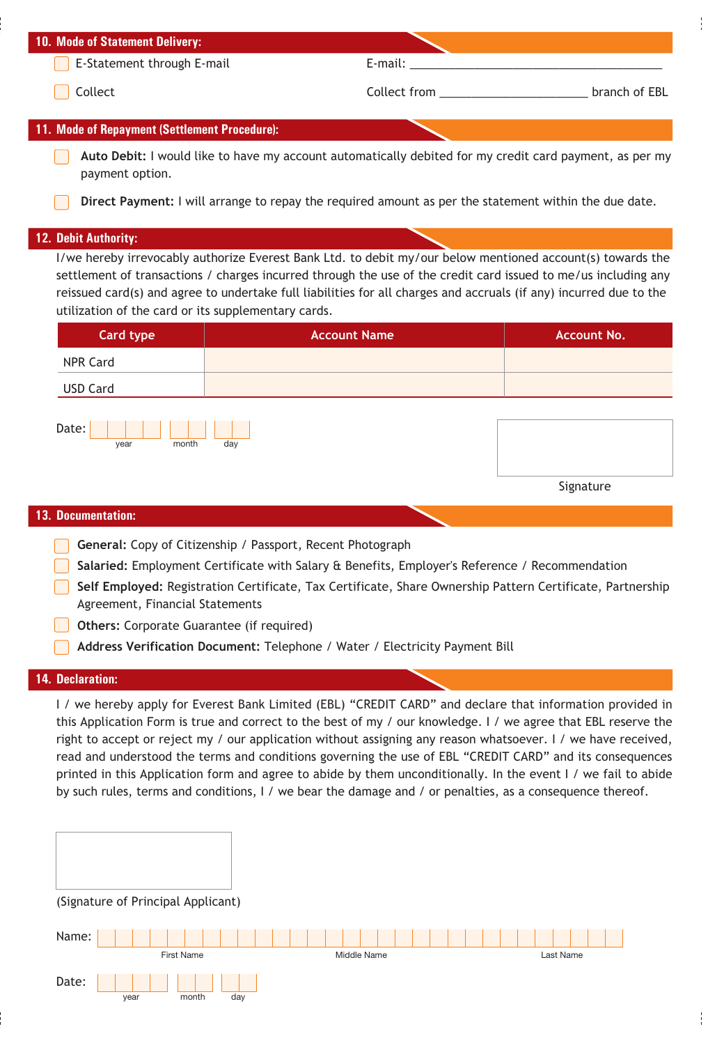| 10. Mode of Statement Delivery:                     |                                                                                                                                                                                                                                                                                                                                                    |                    |
|-----------------------------------------------------|----------------------------------------------------------------------------------------------------------------------------------------------------------------------------------------------------------------------------------------------------------------------------------------------------------------------------------------------------|--------------------|
| E-Statement through E-mail                          | E-mail:                                                                                                                                                                                                                                                                                                                                            |                    |
| Collect                                             |                                                                                                                                                                                                                                                                                                                                                    |                    |
| 11. Mode of Repayment (Settlement Procedure):       |                                                                                                                                                                                                                                                                                                                                                    |                    |
| payment option.                                     | Auto Debit: I would like to have my account automatically debited for my credit card payment, as per my                                                                                                                                                                                                                                            |                    |
|                                                     | Direct Payment: I will arrange to repay the required amount as per the statement within the due date.                                                                                                                                                                                                                                              |                    |
| 12. Debit Authority:                                |                                                                                                                                                                                                                                                                                                                                                    |                    |
| utilization of the card or its supplementary cards. | I/we hereby irrevocably authorize Everest Bank Ltd. to debit my/our below mentioned account(s) towards the<br>settlement of transactions / charges incurred through the use of the credit card issued to me/us including any<br>reissued card(s) and agree to undertake full liabilities for all charges and accruals (if any) incurred due to the |                    |
| <b>Card type</b>                                    | <b>Account Name</b>                                                                                                                                                                                                                                                                                                                                | <b>Account No.</b> |
| <b>NPR Card</b>                                     |                                                                                                                                                                                                                                                                                                                                                    |                    |
| <b>USD Card</b>                                     |                                                                                                                                                                                                                                                                                                                                                    |                    |
| Date:<br>year<br>month                              | day                                                                                                                                                                                                                                                                                                                                                |                    |
|                                                     |                                                                                                                                                                                                                                                                                                                                                    | Signature          |
| 13. Documentation:                                  |                                                                                                                                                                                                                                                                                                                                                    |                    |
|                                                     | General: Copy of Citizenship / Passport, Recent Photograph                                                                                                                                                                                                                                                                                         |                    |
|                                                     | Salaried: Employment Certificate with Salary & Benefits, Employer's Reference / Recommendation                                                                                                                                                                                                                                                     |                    |
| Agreement, Financial Statements                     | Self Employed: Registration Certificate, Tax Certificate, Share Ownership Pattern Certificate, Partnership                                                                                                                                                                                                                                         |                    |
| <b>Others:</b> Corporate Guarantee (if required)    |                                                                                                                                                                                                                                                                                                                                                    |                    |
|                                                     | Address Verification Document: Telephone / Water / Electricity Payment Bill                                                                                                                                                                                                                                                                        |                    |

## **14. Declaration:**

I / we hereby apply for Everest Bank Limited (EBL) "CREDIT CARD" and declare that information provided in this Application Form is true and correct to the best of my / our knowledge. I / we agree that EBL reserve the right to accept or reject my / our application without assigning any reason whatsoever. I / we have received, read and understood the terms and conditions governing the use of EBL "CREDIT CARD" and its consequences printed in this Application form and agree to abide by them unconditionally. In the event I / we fail to abide by such rules, terms and conditions, I / we bear the damage and / or penalties, as a consequence thereof.

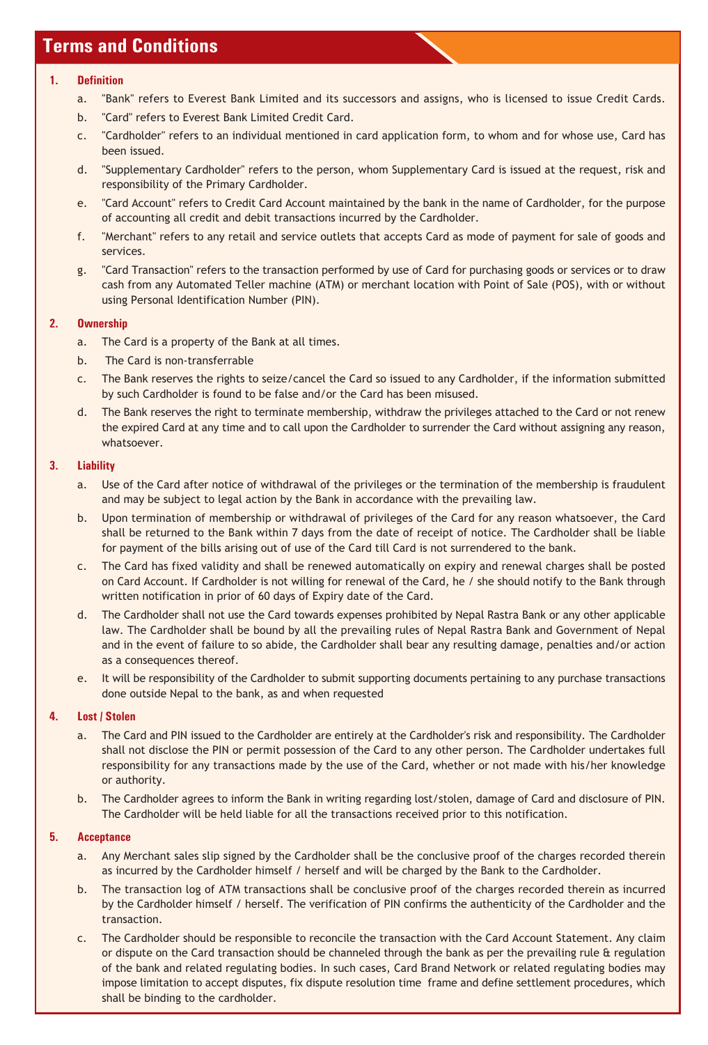# **Terms and Conditions**

#### **1. Definition**

- a. "Bank" refers to Everest Bank Limited and its successors and assigns, who is licensed to issue Credit Cards.
- b. "Card" refers to Everest Bank Limited Credit Card.
- c. "Cardholder" refers to an individual mentioned in card application form, to whom and for whose use, Card has been issued.
- d. "Supplementary Cardholder" refers to the person, whom Supplementary Card is issued at the request, risk and responsibility of the Primary Cardholder.
- e. "Card Account" refers to Credit Card Account maintained by the bank in the name of Cardholder, for the purpose of accounting all credit and debit transactions incurred by the Cardholder.
- f. "Merchant" refers to any retail and service outlets that accepts Card as mode of payment for sale of goods and services.
- g. "Card Transaction" refers to the transaction performed by use of Card for purchasing goods or services or to draw cash from any Automated Teller machine (ATM) or merchant location with Point of Sale (POS), with or without using Personal Identification Number (PIN).

## **2. Ownership**

- a. The Card is a property of the Bank at all times.
- b. The Card is non-transferrable
- c. The Bank reserves the rights to seize/cancel the Card so issued to any Cardholder, if the information submitted by such Cardholder is found to be false and/or the Card has been misused.
- d. The Bank reserves the right to terminate membership, withdraw the privileges attached to the Card or not renew the expired Card at any time and to call upon the Cardholder to surrender the Card without assigning any reason, whatsoever.

## **3. Liability**

- a. Use of the Card after notice of withdrawal of the privileges or the termination of the membership is fraudulent and may be subject to legal action by the Bank in accordance with the prevailing law.
- b. Upon termination of membership or withdrawal of privileges of the Card for any reason whatsoever, the Card shall be returned to the Bank within 7 days from the date of receipt of notice. The Cardholder shall be liable for payment of the bills arising out of use of the Card till Card is not surrendered to the bank.
- c. The Card has fixed validity and shall be renewed automatically on expiry and renewal charges shall be posted on Card Account. If Cardholder is not willing for renewal of the Card, he / she should notify to the Bank through written notification in prior of 60 days of Expiry date of the Card.
- d. The Cardholder shall not use the Card towards expenses prohibited by Nepal Rastra Bank or any other applicable law. The Cardholder shall be bound by all the prevailing rules of Nepal Rastra Bank and Government of Nepal and in the event of failure to so abide, the Cardholder shall bear any resulting damage, penalties and/or action as a consequences thereof.
- e. It will be responsibility of the Cardholder to submit supporting documents pertaining to any purchase transactions done outside Nepal to the bank, as and when requested

## **4. Lost / Stolen**

- a. The Card and PIN issued to the Cardholder are entirely at the Cardholder's risk and responsibility. The Cardholder shall not disclose the PIN or permit possession of the Card to any other person. The Cardholder undertakes full responsibility for any transactions made by the use of the Card, whether or not made with his/her knowledge or authority.
- b. The Cardholder agrees to inform the Bank in writing regarding lost/stolen, damage of Card and disclosure of PIN. The Cardholder will be held liable for all the transactions received prior to this notification.

## **5. Acceptance**

- a. Any Merchant sales slip signed by the Cardholder shall be the conclusive proof of the charges recorded therein as incurred by the Cardholder himself / herself and will be charged by the Bank to the Cardholder.
- b. The transaction log of ATM transactions shall be conclusive proof of the charges recorded therein as incurred by the Cardholder himself / herself. The verification of PIN confirms the authenticity of the Cardholder and the transaction.
- c. The Cardholder should be responsible to reconcile the transaction with the Card Account Statement. Any claim or dispute on the Card transaction should be channeled through the bank as per the prevailing rule & regulation of the bank and related regulating bodies. In such cases, Card Brand Network or related regulating bodies may impose limitation to accept disputes, fix dispute resolution time frame and define settlement procedures, which shall be binding to the cardholder.